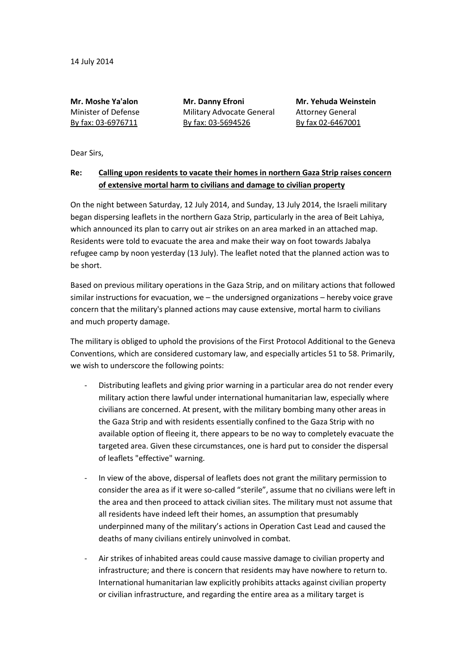**Mr. Moshe Ya'alon Mr. Danny Efroni Mr. Yehuda Weinstein** Minister of Defense Military Advocate General Attorney General By fax: 03-6976711 By fax: 03-5694526 By fax 02-6467001

Dear Sirs,

## **Re: Calling upon residents to vacate their homes in northern Gaza Strip raises concern of extensive mortal harm to civilians and damage to civilian property**

On the night between Saturday, 12 July 2014, and Sunday, 13 July 2014, the Israeli military began dispersing leaflets in the northern Gaza Strip, particularly in the area of Beit Lahiya, which announced its plan to carry out air strikes on an area marked in an attached map. Residents were told to evacuate the area and make their way on foot towards Jabalya refugee camp by noon yesterday (13 July). The leaflet noted that the planned action was to be short.

Based on previous military operations in the Gaza Strip, and on military actions that followed similar instructions for evacuation, we – the undersigned organizations – hereby voice grave concern that the military's planned actions may cause extensive, mortal harm to civilians and much property damage.

The military is obliged to uphold the provisions of the First Protocol Additional to the Geneva Conventions, which are considered customary law, and especially articles 51 to 58. Primarily, we wish to underscore the following points:

- Distributing leaflets and giving prior warning in a particular area do not render every military action there lawful under international humanitarian law, especially where civilians are concerned. At present, with the military bombing many other areas in the Gaza Strip and with residents essentially confined to the Gaza Strip with no available option of fleeing it, there appears to be no way to completely evacuate the targeted area. Given these circumstances, one is hard put to consider the dispersal of leaflets "effective" warning.
- In view of the above, dispersal of leaflets does not grant the military permission to consider the area as if it were so-called "sterile", assume that no civilians were left in the area and then proceed to attack civilian sites. The military must not assume that all residents have indeed left their homes, an assumption that presumably underpinned many of the military's actions in Operation Cast Lead and caused the deaths of many civilians entirely uninvolved in combat.
- Air strikes of inhabited areas could cause massive damage to civilian property and infrastructure; and there is concern that residents may have nowhere to return to. International humanitarian law explicitly prohibits attacks against civilian property or civilian infrastructure, and regarding the entire area as a military target is